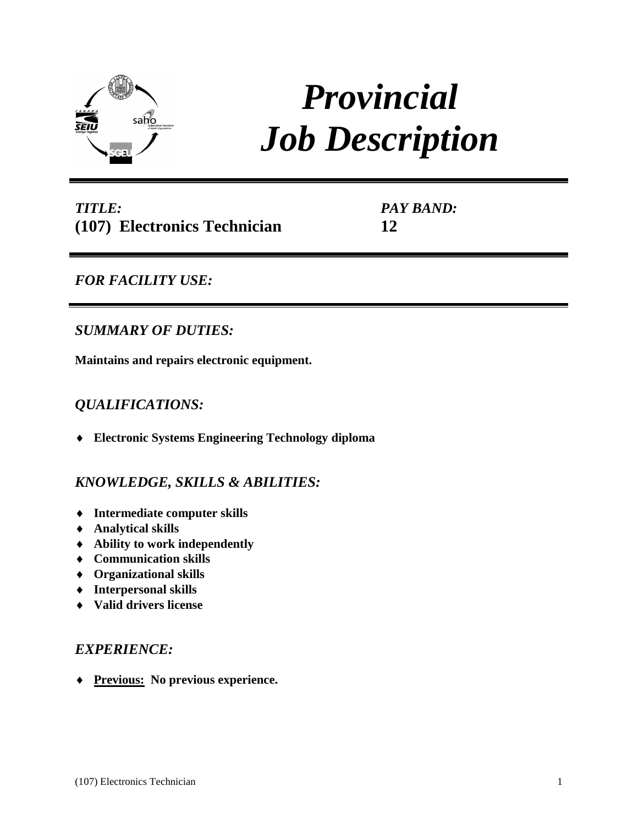

# *Provincial Job Description*

| <b>TITLE:</b> |                              |  |
|---------------|------------------------------|--|
|               | (107) Electronics Technician |  |

*PAY BAND:* **12**

# *FOR FACILITY USE:*

## *SUMMARY OF DUTIES:*

**Maintains and repairs electronic equipment.** 

## *QUALIFICATIONS:*

**Electronic Systems Engineering Technology diploma**

## *KNOWLEDGE, SKILLS & ABILITIES:*

- **Intermediate computer skills**
- **Analytical skills**
- **Ability to work independently**
- **Communication skills**
- **Organizational skills**
- **Interpersonal skills**
- **Valid drivers license**

## *EXPERIENCE:*

**Previous: No previous experience.**